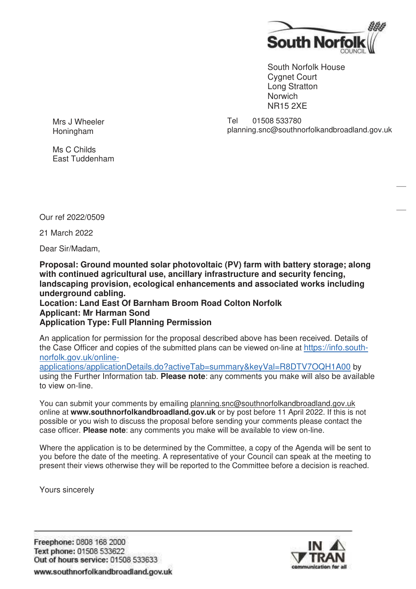

South Norfolk House Cygnet Court Long Stratton **Norwich** NR15 2XE

Mrs J Wheeler Honingham

Tel 01508 533780 planning.snc@southnorfolkandbroadland.gov.uk

Ms C Childs East Tuddenham

Our ref 2022/0509

21 March 2022

Dear Sir/Madam,

**Proposal: Ground mounted solar photovoltaic (PV) farm with battery storage; along with continued agricultural use, ancillary infrastructure and security fencing, landscaping provision, ecological enhancements and associated works including underground cabling.**

## **Location: Land East Of Barnham Broom Road Colton Norfolk Applicant: Mr Harman Sond Application Type: Full Planning Permission**

An application for permission for the proposal described above has been received. Details of the Case Officer and copies of the submitted plans can be viewed on-line at https://info.southnorfolk.gov.uk/online-

applications/applicationDetails.do?activeTab=summary&keyVal=R8DTV7OQH1A00 by using the Further Information tab. **Please note**: any comments you make will also be available to view on-line.

You can submit your comments by emailing planning.snc@southnorfolkandbroadland.gov.uk online at **www.southnorfolkandbroadland.gov.uk** or by post before 11 April 2022. If this is not possible or you wish to discuss the proposal before sending your comments please contact the case officer. **Please note**: any comments you make will be available to view on-line.

Where the application is to be determined by the Committee, a copy of the Agenda will be sent to you before the date of the meeting. A representative of your Council can speak at the meeting to present their views otherwise they will be reported to the Committee before a decision is reached.

Yours sincerely

Freephone: 0808 168 2000 Text phone: 01508 533622 Out of hours service: 01508 533633 www.southnorfolkandbroadland.gov.uk